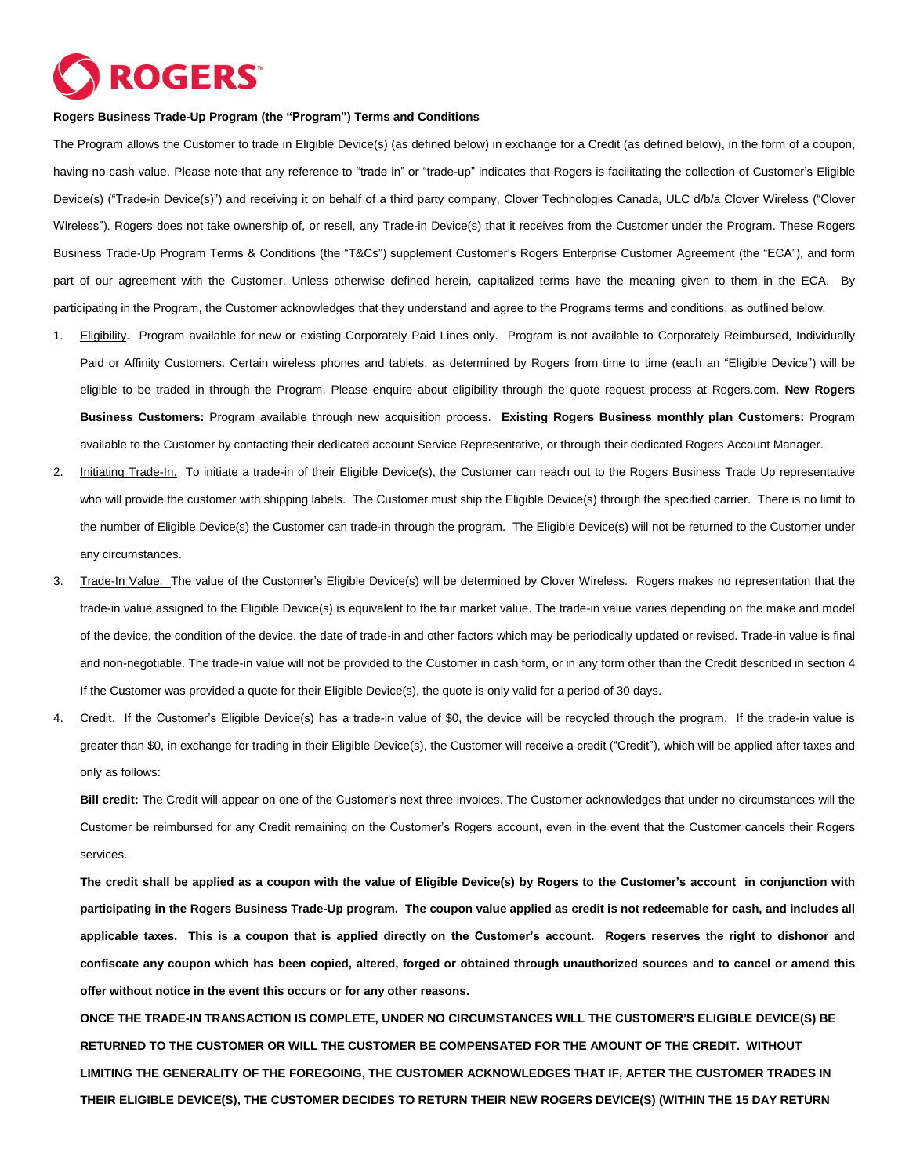## **ROGERS**

## **Rogers Business Trade-Up Program (the "Program") Terms and Conditions**

The Program allows the Customer to trade in Eligible Device(s) (as defined below) in exchange for a Credit (as defined below), in the form of a coupon, having no cash value. Please note that any reference to "trade in" or "trade-up" indicates that Rogers is facilitating the collection of Customer's Eligible Device(s) ("Trade-in Device(s)") and receiving it on behalf of a third party company, Clover Technologies Canada, ULC d/b/a Clover Wireless ("Clover Wireless"). Rogers does not take ownership of, or resell, any Trade-in Device(s) that it receives from the Customer under the Program. These Rogers Business Trade-Up Program Terms & Conditions (the "T&Cs") supplement Customer's Rogers Enterprise Customer Agreement (the "ECA"), and form part of our agreement with the Customer. Unless otherwise defined herein, capitalized terms have the meaning given to them in the ECA. By participating in the Program, the Customer acknowledges that they understand and agree to the Programs terms and conditions, as outlined below.

- 1. Eligibility. Program available for new or existing Corporately Paid Lines only. Program is not available to Corporately Reimbursed, Individually Paid or Affinity Customers. Certain wireless phones and tablets, as determined by Rogers from time to time (each an "Eligible Device") will be eligible to be traded in through the Program. Please enquire about eligibility through the quote request process at Rogers.com. **New Rogers Business Customers:** Program available through new acquisition process. **Existing Rogers Business monthly plan Customers:** Program available to the Customer by contacting their dedicated account Service Representative, or through their dedicated Rogers Account Manager.
- 2. Initiating Trade-In. To initiate a trade-in of their Eligible Device(s), the Customer can reach out to the Rogers Business Trade Up representative who will provide the customer with shipping labels. The Customer must ship the Eligible Device(s) through the specified carrier. There is no limit to the number of Eligible Device(s) the Customer can trade-in through the program. The Eligible Device(s) will not be returned to the Customer under any circumstances.
- 3. Trade-In Value. The value of the Customer's Eligible Device(s) will be determined by Clover Wireless. Rogers makes no representation that the trade-in value assigned to the Eligible Device(s) is equivalent to the fair market value. The trade-in value varies depending on the make and model of the device, the condition of the device, the date of trade-in and other factors which may be periodically updated or revised. Trade-in value is final and non-negotiable. The trade-in value will not be provided to the Customer in cash form, or in any form other than the Credit described in section 4 If the Customer was provided a quote for their Eligible Device(s), the quote is only valid for a period of 30 days.
- 4. Credit. If the Customer's Eligible Device(s) has a trade-in value of \$0, the device will be recycled through the program. If the trade-in value is greater than \$0, in exchange for trading in their Eligible Device(s), the Customer will receive a credit ("Credit"), which will be applied after taxes and only as follows:

**Bill credit:** The Credit will appear on one of the Customer's next three invoices. The Customer acknowledges that under no circumstances will the Customer be reimbursed for any Credit remaining on the Customer's Rogers account, even in the event that the Customer cancels their Rogers services.

**The credit shall be applied as a coupon with the value of Eligible Device(s) by Rogers to the Customer's account in conjunction with participating in the Rogers Business Trade-Up program. The coupon value applied as credit is not redeemable for cash, and includes all applicable taxes. This is a coupon that is applied directly on the Customer's account. Rogers reserves the right to dishonor and confiscate any coupon which has been copied, altered, forged or obtained through unauthorized sources and to cancel or amend this offer without notice in the event this occurs or for any other reasons.**

**ONCE THE TRADE-IN TRANSACTION IS COMPLETE, UNDER NO CIRCUMSTANCES WILL THE CUSTOMER'S ELIGIBLE DEVICE(S) BE RETURNED TO THE CUSTOMER OR WILL THE CUSTOMER BE COMPENSATED FOR THE AMOUNT OF THE CREDIT. WITHOUT LIMITING THE GENERALITY OF THE FOREGOING, THE CUSTOMER ACKNOWLEDGES THAT IF, AFTER THE CUSTOMER TRADES IN THEIR ELIGIBLE DEVICE(S), THE CUSTOMER DECIDES TO RETURN THEIR NEW ROGERS DEVICE(S) (WITHIN THE 15 DAY RETURN**